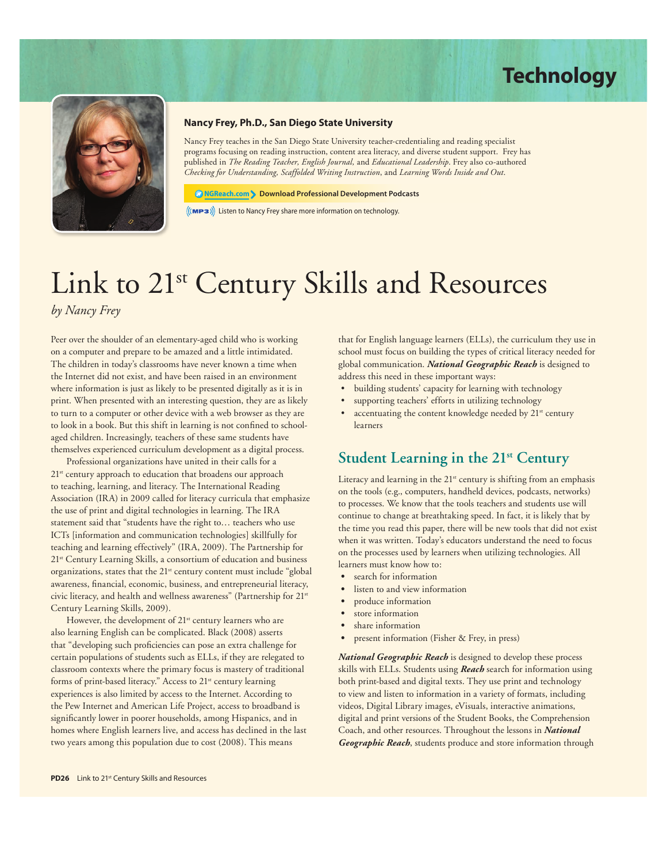# **Technology**



# **Nancy Frey, Ph.D., San Diego State University**

Nancy Frey teaches in the San Diego State University teacher-credentialing and reading specialist programs focusing on reading instruction, content area literacy, and diverse student support. Frey has published in *The Reading Teacher, English Journal,* and *Educational Leadership*. Frey also co-authored *Checking for Understanding, Scaffolded Writing Instruction*, and *Learning Words Inside and Out*.

#### **NGReach.com Download Professional Development Podcasts**

 $\left(\mathsf{MPS}\right)\right)$  Listen to Nancy Frey share more information on technology.

# Link to 21<sup>st</sup> Century Skills and Resources *by Nancy Frey*

Peer over the shoulder of an elementary-aged child who is working on a computer and prepare to be amazed and a little intimidated. The children in today's classrooms have never known a time when the Internet did not exist, and have been raised in an environment where information is just as likely to be presented digitally as it is in print. When presented with an interesting question, they are as likely to turn to a computer or other device with a web browser as they are to look in a book. But this shift in learning is not confined to schoolaged children. Increasingly, teachers of these same students have themselves experienced curriculum development as a digital process.

Professional organizations have united in their calls for a 21<sup>st</sup> century approach to education that broadens our approach to teaching, learning, and literacy. The International Reading Association (IRA) in 2009 called for literacy curricula that emphasize the use of print and digital technologies in learning. The IRA statement said that "students have the right to… teachers who use ICTs [information and communication technologies] skillfully for teaching and learning effectively" (IRA, 2009). The Partnership for 21<sup>st</sup> Century Learning Skills, a consortium of education and business organizations, states that the 21<sup>st</sup> century content must include "global" awareness, financial, economic, business, and entrepreneurial literacy, civic literacy, and health and wellness awareness" (Partnership for 21<sup>st</sup> Century Learning Skills, 2009).

However, the development of 21<sup>st</sup> century learners who are also learning English can be complicated. Black (2008) asserts that "developing such proficiencies can pose an extra challenge for certain populations of students such as ELLs, if they are relegated to classroom contexts where the primary focus is mastery of traditional forms of print-based literacy." Access to 21<sup>st</sup> century learning experiences is also limited by access to the Internet. According to the Pew Internet and American Life Project, access to broadband is significantly lower in poorer households, among Hispanics, and in homes where English learners live, and access has declined in the last two years among this population due to cost (2008). This means

that for English language learners (ELLs), the curriculum they use in school must focus on building the types of critical literacy needed for global communication. *National Geographic Reach* is designed to address this need in these important ways:

- building students' capacity for learning with technology
- supporting teachers' efforts in utilizing technology
- accentuating the content knowledge needed by 21<sup>st</sup> century learners

### **Student Learning in the 21st Century**

Literacy and learning in the 21<sup>st</sup> century is shifting from an emphasis on the tools (e.g., computers, handheld devices, podcasts, networks) to processes. We know that the tools teachers and students use will continue to change at breathtaking speed. In fact, it is likely that by the time you read this paper, there will be new tools that did not exist when it was written. Today's educators understand the need to focus on the processes used by learners when utilizing technologies. All learners must know how to:

- **s** search for information
- listen to and view information
- **s** produce information
- **s** store information
- **s** share information
- **s** present information (Fisher & Frey, in press)

*National Geographic Reach* is designed to develop these process skills with ELLs. Students using *Reach* search for information using both print-based and digital texts. They use print and technology to view and listen to information in a variety of formats, including videos, Digital Library images, eVisuals, interactive animations, digital and print versions of the Student Books, the Comprehension Coach, and other resources. Throughout the lessons in *National Geographic Reach*, students produce and store information through